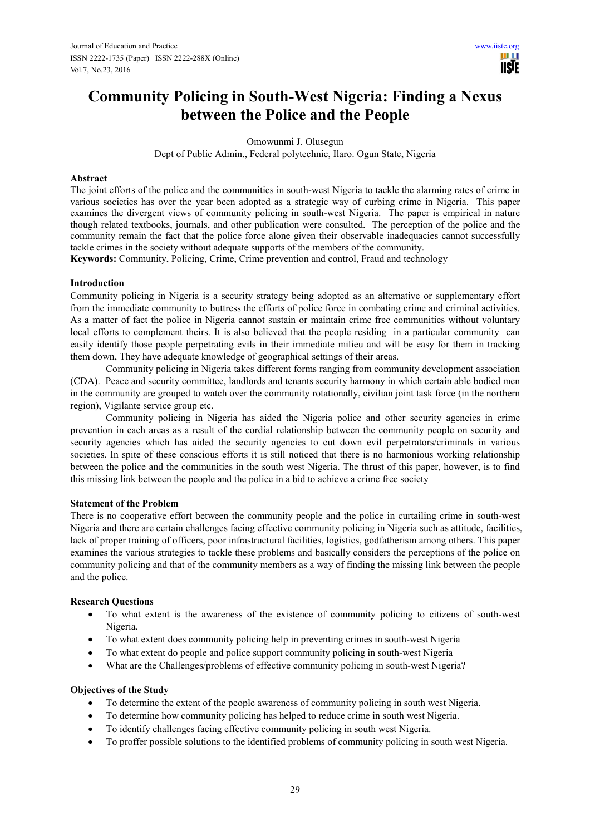**TISIE** 

# **Community Policing in South-West Nigeria: Finding a Nexus between the Police and the People**

Omowunmi J. Olusegun

Dept of Public Admin., Federal polytechnic, Ilaro. Ogun State, Nigeria

### **Abstract**

The joint efforts of the police and the communities in south-west Nigeria to tackle the alarming rates of crime in various societies has over the year been adopted as a strategic way of curbing crime in Nigeria. This paper examines the divergent views of community policing in south-west Nigeria. The paper is empirical in nature though related textbooks, journals, and other publication were consulted. The perception of the police and the community remain the fact that the police force alone given their observable inadequacies cannot successfully tackle crimes in the society without adequate supports of the members of the community.

**Keywords:** Community, Policing, Crime, Crime prevention and control, Fraud and technology

### **Introduction**

Community policing in Nigeria is a security strategy being adopted as an alternative or supplementary effort from the immediate community to buttress the efforts of police force in combating crime and criminal activities. As a matter of fact the police in Nigeria cannot sustain or maintain crime free communities without voluntary local efforts to complement theirs. It is also believed that the people residing in a particular community can easily identify those people perpetrating evils in their immediate milieu and will be easy for them in tracking them down, They have adequate knowledge of geographical settings of their areas.

Community policing in Nigeria takes different forms ranging from community development association (CDA). Peace and security committee, landlords and tenants security harmony in which certain able bodied men in the community are grouped to watch over the community rotationally, civilian joint task force (in the northern region), Vigilante service group etc.

Community policing in Nigeria has aided the Nigeria police and other security agencies in crime prevention in each areas as a result of the cordial relationship between the community people on security and security agencies which has aided the security agencies to cut down evil perpetrators/criminals in various societies. In spite of these conscious efforts it is still noticed that there is no harmonious working relationship between the police and the communities in the south west Nigeria. The thrust of this paper, however, is to find this missing link between the people and the police in a bid to achieve a crime free society

### **Statement of the Problem**

There is no cooperative effort between the community people and the police in curtailing crime in south-west Nigeria and there are certain challenges facing effective community policing in Nigeria such as attitude, facilities, lack of proper training of officers, poor infrastructural facilities, logistics, godfatherism among others. This paper examines the various strategies to tackle these problems and basically considers the perceptions of the police on community policing and that of the community members as a way of finding the missing link between the people and the police.

### **Research Questions**

- To what extent is the awareness of the existence of community policing to citizens of south-west Nigeria.
- To what extent does community policing help in preventing crimes in south-west Nigeria
- To what extent do people and police support community policing in south-west Nigeria
- What are the Challenges/problems of effective community policing in south-west Nigeria?

### **Objectives of the Study**

- To determine the extent of the people awareness of community policing in south west Nigeria.
- To determine how community policing has helped to reduce crime in south west Nigeria.
- To identify challenges facing effective community policing in south west Nigeria.
- To proffer possible solutions to the identified problems of community policing in south west Nigeria.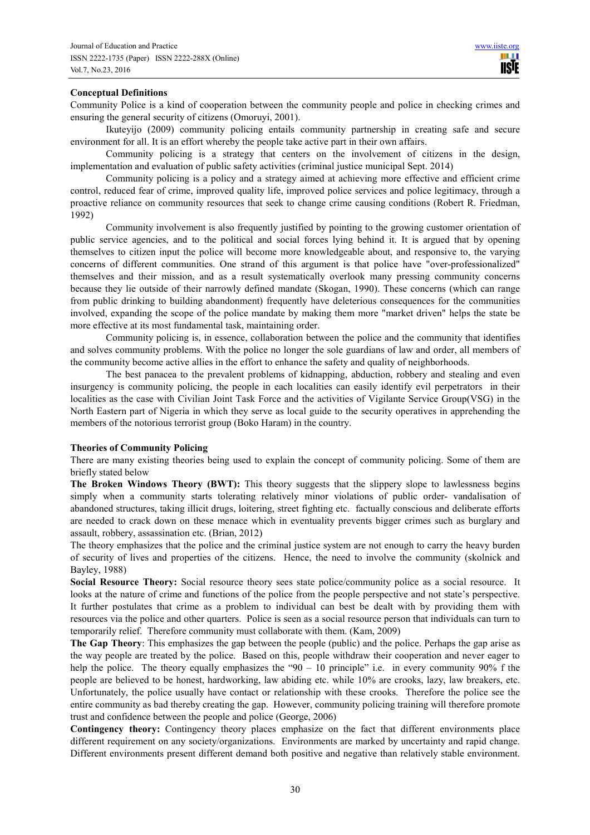### **Conceptual Definitions**

Community Police is a kind of cooperation between the community people and police in checking crimes and ensuring the general security of citizens (Omoruyi, 2001).

Ikuteyijo (2009) community policing entails community partnership in creating safe and secure environment for all. It is an effort whereby the people take active part in their own affairs.

Community policing is a strategy that centers on the involvement of citizens in the design, implementation and evaluation of public safety activities (criminal justice municipal Sept. 2014)

Community policing is a policy and a strategy aimed at achieving more effective and efficient crime control, reduced fear of crime, improved quality life, improved police services and police legitimacy, through a proactive reliance on community resources that seek to change crime causing conditions (Robert R. Friedman, 1992)

Community involvement is also frequently justified by pointing to the growing customer orientation of public service agencies, and to the political and social forces lying behind it. It is argued that by opening themselves to citizen input the police will become more knowledgeable about, and responsive to, the varying concerns of different communities. One strand of this argument is that police have "over-professionalized" themselves and their mission, and as a result systematically overlook many pressing community concerns because they lie outside of their narrowly defined mandate (Skogan, 1990). These concerns (which can range from public drinking to building abandonment) frequently have deleterious consequences for the communities involved, expanding the scope of the police mandate by making them more "market driven" helps the state be more effective at its most fundamental task, maintaining order.

Community policing is, in essence, collaboration between the police and the community that identifies and solves community problems. With the police no longer the sole guardians of law and order, all members of the community become active allies in the effort to enhance the safety and quality of neighborhoods.

The best panacea to the prevalent problems of kidnapping, abduction, robbery and stealing and even insurgency is community policing, the people in each localities can easily identify evil perpetrators in their localities as the case with Civilian Joint Task Force and the activities of Vigilante Service Group(VSG) in the North Eastern part of Nigeria in which they serve as local guide to the security operatives in apprehending the members of the notorious terrorist group (Boko Haram) in the country.

#### **Theories of Community Policing**

There are many existing theories being used to explain the concept of community policing. Some of them are briefly stated below

**The Broken Windows Theory (BWT):** This theory suggests that the slippery slope to lawlessness begins simply when a community starts tolerating relatively minor violations of public order- vandalisation of abandoned structures, taking illicit drugs, loitering, street fighting etc. factually conscious and deliberate efforts are needed to crack down on these menace which in eventuality prevents bigger crimes such as burglary and assault, robbery, assassination etc. (Brian, 2012)

The theory emphasizes that the police and the criminal justice system are not enough to carry the heavy burden of security of lives and properties of the citizens. Hence, the need to involve the community (skolnick and Bayley, 1988)

**Social Resource Theory:** Social resource theory sees state police/community police as a social resource. It looks at the nature of crime and functions of the police from the people perspective and not state's perspective. It further postulates that crime as a problem to individual can best be dealt with by providing them with resources via the police and other quarters. Police is seen as a social resource person that individuals can turn to temporarily relief. Therefore community must collaborate with them. (Kam, 2009)

**The Gap Theory**: This emphasizes the gap between the people (public) and the police. Perhaps the gap arise as the way people are treated by the police. Based on this, people withdraw their cooperation and never eager to help the police. The theory equally emphasizes the "90 – 10 principle" i.e. in every community 90% f the people are believed to be honest, hardworking, law abiding etc. while 10% are crooks, lazy, law breakers, etc. Unfortunately, the police usually have contact or relationship with these crooks. Therefore the police see the entire community as bad thereby creating the gap. However, community policing training will therefore promote trust and confidence between the people and police (George, 2006)

**Contingency theory:** Contingency theory places emphasize on the fact that different environments place different requirement on any society/organizations. Environments are marked by uncertainty and rapid change. Different environments present different demand both positive and negative than relatively stable environment.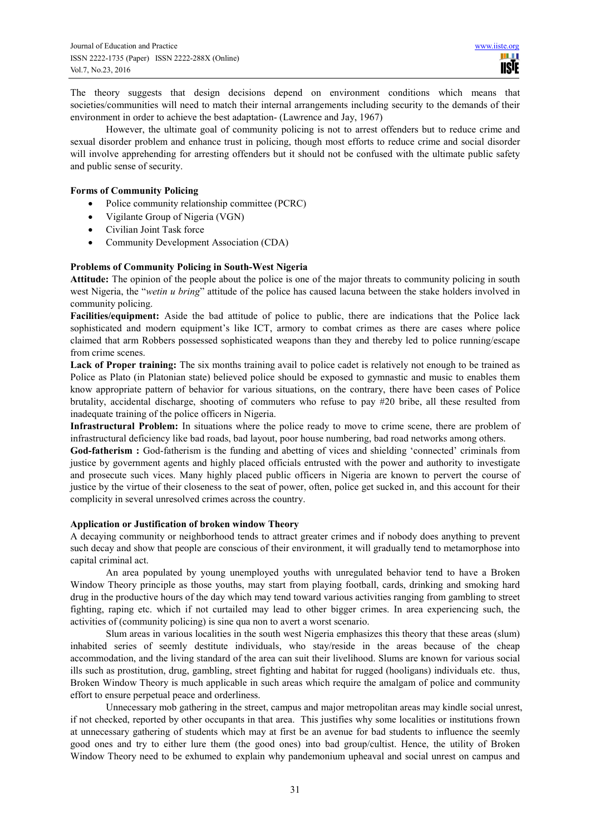The theory suggests that design decisions depend on environment conditions which means that societies/communities will need to match their internal arrangements including security to the demands of their environment in order to achieve the best adaptation- (Lawrence and Jay, 1967)

However, the ultimate goal of community policing is not to arrest offenders but to reduce crime and sexual disorder problem and enhance trust in policing, though most efforts to reduce crime and social disorder will involve apprehending for arresting offenders but it should not be confused with the ultimate public safety and public sense of security.

### **Forms of Community Policing**

• Police community relationship committee (PCRC)

- Vigilante Group of Nigeria (VGN)
- Civilian Joint Task force
- Community Development Association (CDA)

### **Problems of Community Policing in South-West Nigeria**

**Attitude:** The opinion of the people about the police is one of the major threats to community policing in south west Nigeria, the "*wetin u bring*" attitude of the police has caused lacuna between the stake holders involved in community policing.

**Facilities/equipment:** Aside the bad attitude of police to public, there are indications that the Police lack sophisticated and modern equipment's like ICT, armory to combat crimes as there are cases where police claimed that arm Robbers possessed sophisticated weapons than they and thereby led to police running/escape from crime scenes.

**Lack of Proper training:** The six months training avail to police cadet is relatively not enough to be trained as Police as Plato (in Platonian state) believed police should be exposed to gymnastic and music to enables them know appropriate pattern of behavior for various situations, on the contrary, there have been cases of Police brutality, accidental discharge, shooting of commuters who refuse to pay #20 bribe, all these resulted from inadequate training of the police officers in Nigeria.

**Infrastructural Problem:** In situations where the police ready to move to crime scene, there are problem of infrastructural deficiency like bad roads, bad layout, poor house numbering, bad road networks among others.

God-fatherism : God-fatherism is the funding and abetting of vices and shielding 'connected' criminals from justice by government agents and highly placed officials entrusted with the power and authority to investigate and prosecute such vices. Many highly placed public officers in Nigeria are known to pervert the course of justice by the virtue of their closeness to the seat of power, often, police get sucked in, and this account for their complicity in several unresolved crimes across the country.

#### **Application or Justification of broken window Theory**

A decaying community or neighborhood tends to attract greater crimes and if nobody does anything to prevent such decay and show that people are conscious of their environment, it will gradually tend to metamorphose into capital criminal act.

An area populated by young unemployed youths with unregulated behavior tend to have a Broken Window Theory principle as those youths, may start from playing football, cards, drinking and smoking hard drug in the productive hours of the day which may tend toward various activities ranging from gambling to street fighting, raping etc. which if not curtailed may lead to other bigger crimes. In area experiencing such, the activities of (community policing) is sine qua non to avert a worst scenario.

Slum areas in various localities in the south west Nigeria emphasizes this theory that these areas (slum) inhabited series of seemly destitute individuals, who stay/reside in the areas because of the cheap accommodation, and the living standard of the area can suit their livelihood. Slums are known for various social ills such as prostitution, drug, gambling, street fighting and habitat for rugged (hooligans) individuals etc. thus, Broken Window Theory is much applicable in such areas which require the amalgam of police and community effort to ensure perpetual peace and orderliness.

Unnecessary mob gathering in the street, campus and major metropolitan areas may kindle social unrest, if not checked, reported by other occupants in that area. This justifies why some localities or institutions frown at unnecessary gathering of students which may at first be an avenue for bad students to influence the seemly good ones and try to either lure them (the good ones) into bad group/cultist. Hence, the utility of Broken Window Theory need to be exhumed to explain why pandemonium upheaval and social unrest on campus and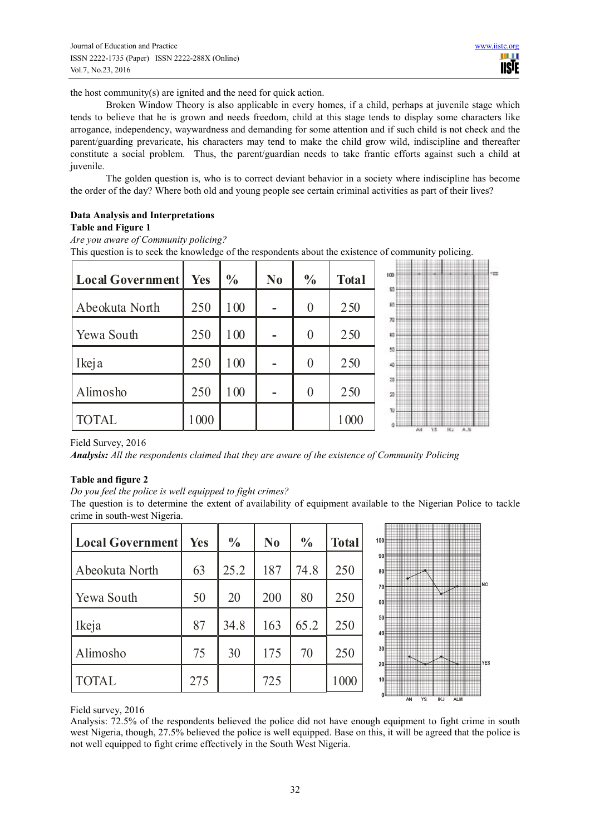the host community(s) are ignited and the need for quick action.

Broken Window Theory is also applicable in every homes, if a child, perhaps at juvenile stage which tends to believe that he is grown and needs freedom, child at this stage tends to display some characters like arrogance, independency, waywardness and demanding for some attention and if such child is not check and the parent/guarding prevaricate, his characters may tend to make the child grow wild, indiscipline and thereafter constitute a social problem. Thus, the parent/guardian needs to take frantic efforts against such a child at juvenile.

The golden question is, who is to correct deviant behavior in a society where indiscipline has become the order of the day? Where both old and young people see certain criminal activities as part of their lives?

### **Data Analysis and Interpretations Table and Figure 1**

*Are you aware of Community policing?*

This question is to seek the knowledge of the respondents about the existence of community policing.

| Local Government | Yes  | $\frac{0}{0}$ | N <sub>0</sub> | $\frac{0}{0}$ | <b>Total</b> | 100      |                 |       | 153 |
|------------------|------|---------------|----------------|---------------|--------------|----------|-----------------|-------|-----|
| Abeokuta North   | 250  | 100           |                |               | 250          | 90<br>R0 |                 |       |     |
| Yewa South       | 250  | 100           |                |               | 250          | 70<br>60 |                 |       |     |
| Ikeja            | 250  | 100           |                |               | 250          | 50<br>üΟ |                 |       |     |
| Alimosho         | 250  | 100           |                |               | 250          | 50<br>50 |                 |       |     |
| <b>TOTAL</b>     | 1000 |               |                |               | 1000         | π        | 15<br>AM<br>16. | $A_N$ |     |

Field Survey, 2016

*Analysis: All the respondents claimed that they are aware of the existence of Community Policing* 

### **Table and figure 2**

*Do you feel the police is well equipped to fight crimes?* 

The question is to determine the extent of availability of equipment available to the Nigerian Police to tackle crime in south-west Nigeria.

| <b>Local Government</b> | <b>Yes</b> | $\frac{0}{0}$ | N <sub>0</sub> | $\frac{0}{0}$ | <b>Total</b> | 100                   |    |    |            |            |     |
|-------------------------|------------|---------------|----------------|---------------|--------------|-----------------------|----|----|------------|------------|-----|
| Abeokuta North          | 63         | 25.2          | 187            | 74.8          | 250          | 90 <sup>1</sup><br>80 |    |    |            |            |     |
| Yewa South              | 50         | 20            | 200            | 80            | 250          | 70<br>60              |    |    |            |            | ШNО |
| Ikeja                   | 87         | 34.8          | 163            | 65.2          | 250          | 50<br>40              |    |    |            |            |     |
| Alimosho                | 75         | 30            | 175            | 70            | 250          | 30 <sup>1</sup><br>20 |    |    |            |            | YES |
| <b>TOTAL</b>            | 275        |               | 725            |               | 1000         | 10 <sup>1</sup>       |    |    |            |            |     |
|                         |            |               |                |               |              |                       | AN | YS | <b>IKJ</b> | <b>ALM</b> |     |

Field survey, 2016

Analysis: 72.5% of the respondents believed the police did not have enough equipment to fight crime in south west Nigeria, though, 27.5% believed the police is well equipped. Base on this, it will be agreed that the police is not well equipped to fight crime effectively in the South West Nigeria.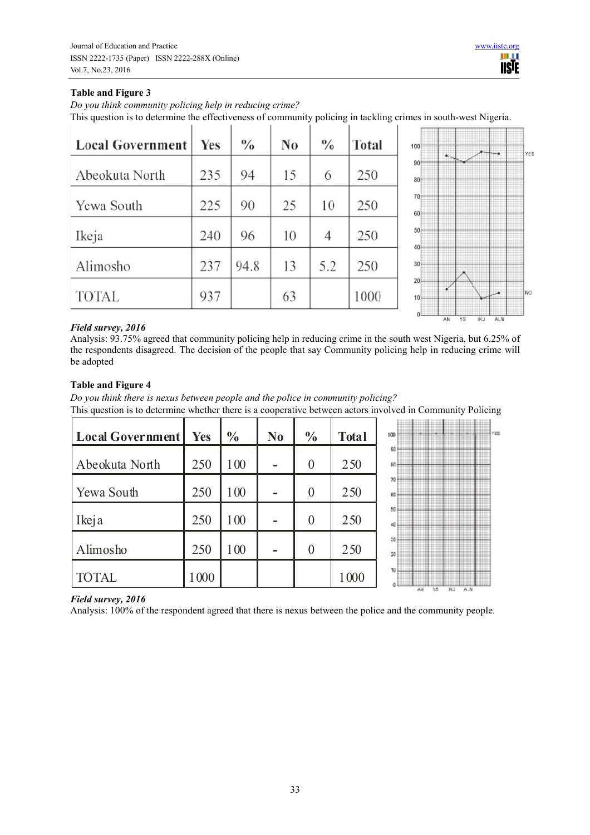# **Table and Figure 3**

*Do you think community policing help in reducing crime?*  This question is to determine the effectiveness of community policing in tackling crimes in south-west Nigeria.

| <b>Local Government</b> | <b>Yes</b> | $\frac{0}{0}$ | N <sub>0</sub> | $\frac{0}{0}$ | <b>Total</b> |
|-------------------------|------------|---------------|----------------|---------------|--------------|
| Abeokuta North          | 235        | 94            | 15             | 6             | 250          |
| Yewa South              | 225        | 90            | 25             | 10            | 250          |
| Ikeja                   | 240        | 96            | 10             | 4             | 250          |
| Alimosho                | 237        | 94.8          | 13             | 5.2           | 250          |
| <b>TOTAL</b>            | 937        |               | 63             |               | 1000         |



# *Field survey, 2016*

Analysis: 93.75% agreed that community policing help in reducing crime in the south west Nigeria, but 6.25% of the respondents disagreed. The decision of the people that say Community policing help in reducing crime will be adopted

# **Table and Figure 4**

100

100

250

250

1000

**Local Government % %**  $\overline{a}$ **Yes No Total**  $100$  $\alpha$ 250 100 250 Abeokuta North 0 **- N**  $\overline{\mathcal{X}}$ Yewa South 250 100 0 250 **-**  $\dot{\mathbf{R}}$ 

0

250

250

1000

0

**-**

**-**



# *Field survey, 2016*

Alimosho

TOTAL

Ikeja

Analysis: 100% of the respondent agreed that there is nexus between the police and the community people.

*Do you think there is nexus between people and the police in community policing?*  This question is to determine whether there is a cooperative between actors involved in Community Policing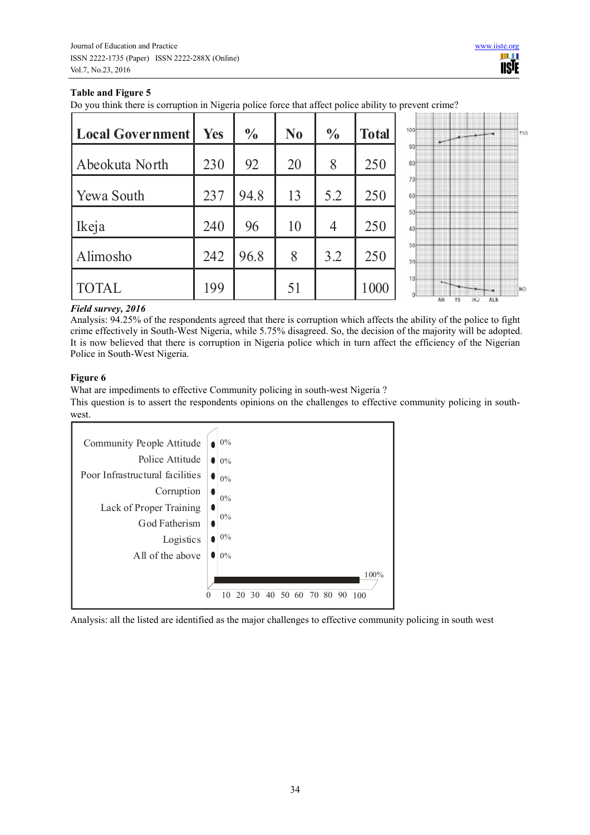# **Table and Figure 5**

Do you think there is corruption in Nigeria police force that affect police ability to prevent crime?

| <b>Local Government</b> | <b>Yes</b> | $\frac{0}{0}$ | N <sub>0</sub> | $\frac{0}{0}$  | <b>Total</b> | 1001            |    |    |     |            | <b>YES</b> |
|-------------------------|------------|---------------|----------------|----------------|--------------|-----------------|----|----|-----|------------|------------|
| Abeokuta North          | 230        | 92            | 20             | 8              | 250          | 90<br>80        |    |    |     |            |            |
| Yewa South              | 237        | 94.8          | 13             | 5.2            | 250          | 70<br>60        |    |    |     |            |            |
| Ikeja                   | 240        | 96            | 10             | $\overline{4}$ | 250          | 50<br>40        |    |    |     |            |            |
| Alimosho                | 242        | 96.8          | 8              | 3.2            | 250          | 30<br>20        |    |    |     |            |            |
| <b>TOTAL</b>            | 199        |               | 51             |                | 1000         | 10 <sub>1</sub> | AN | YS | IKJ | <b>ALN</b> | i NO       |

## *Field survey, 2016*

Analysis: 94.25% of the respondents agreed that there is corruption which affects the ability of the police to fight crime effectively in South-West Nigeria, while 5.75% disagreed. So, the decision of the majority will be adopted. It is now believed that there is corruption in Nigeria police which in turn affect the efficiency of the Nigerian Police in South-West Nigeria.

# **Figure 6**

What are impediments to effective Community policing in south-west Nigeria ?

This question is to assert the respondents opinions on the challenges to effective community policing in southwest.



Analysis: all the listed are identified as the major challenges to effective community policing in south west